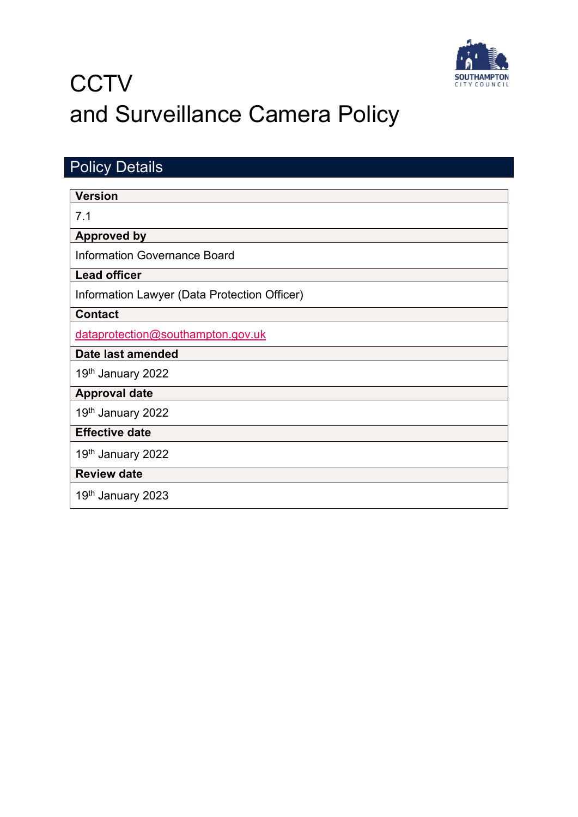

# **CCTV** and Surveillance Camera Policy

<span id="page-0-0"></span>

| <b>Policy Details</b>                        |  |  |
|----------------------------------------------|--|--|
| <b>Version</b>                               |  |  |
|                                              |  |  |
| 7.1                                          |  |  |
| <b>Approved by</b>                           |  |  |
| <b>Information Governance Board</b>          |  |  |
| <b>Lead officer</b>                          |  |  |
| Information Lawyer (Data Protection Officer) |  |  |
| <b>Contact</b>                               |  |  |
| dataprotection@southampton.gov.uk            |  |  |
| Date last amended                            |  |  |
| 19th January 2022                            |  |  |
| <b>Approval date</b>                         |  |  |
| 19th January 2022                            |  |  |
| <b>Effective date</b>                        |  |  |
| 19th January 2022                            |  |  |
| <b>Review date</b>                           |  |  |
| 19th January 2023                            |  |  |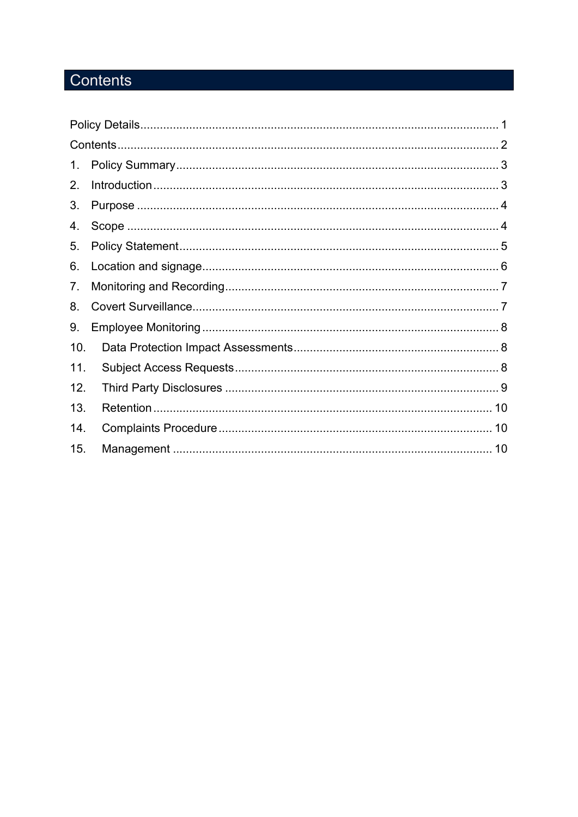# <span id="page-1-0"></span>Contents

| 1.  |  |  |  |
|-----|--|--|--|
| 2.  |  |  |  |
| 3.  |  |  |  |
| 4.  |  |  |  |
| 5.  |  |  |  |
| 6.  |  |  |  |
| 7.  |  |  |  |
| 8.  |  |  |  |
| 9.  |  |  |  |
| 10. |  |  |  |
| 11. |  |  |  |
| 12. |  |  |  |
| 13. |  |  |  |
| 14. |  |  |  |
| 15. |  |  |  |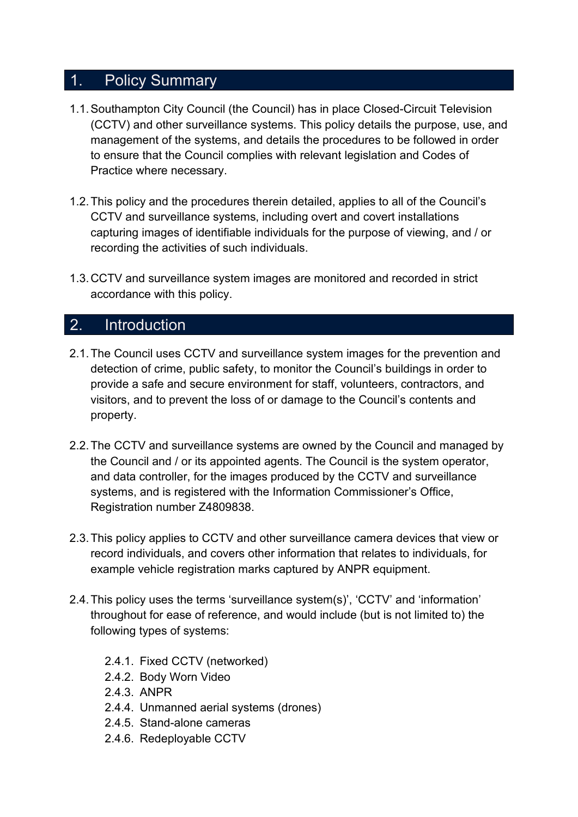#### <span id="page-2-0"></span>1. Policy Summary

- 1.1.Southampton City Council (the Council) has in place Closed-Circuit Television (CCTV) and other surveillance systems. This policy details the purpose, use, and management of the systems, and details the procedures to be followed in order to ensure that the Council complies with relevant legislation and Codes of Practice where necessary.
- 1.2.This policy and the procedures therein detailed, applies to all of the Council's CCTV and surveillance systems, including overt and covert installations capturing images of identifiable individuals for the purpose of viewing, and / or recording the activities of such individuals.
- 1.3.CCTV and surveillance system images are monitored and recorded in strict accordance with this policy.

#### <span id="page-2-1"></span>2. Introduction

- 2.1.The Council uses CCTV and surveillance system images for the prevention and detection of crime, public safety, to monitor the Council's buildings in order to provide a safe and secure environment for staff, volunteers, contractors, and visitors, and to prevent the loss of or damage to the Council's contents and property.
- 2.2.The CCTV and surveillance systems are owned by the Council and managed by the Council and / or its appointed agents. The Council is the system operator, and data controller, for the images produced by the CCTV and surveillance systems, and is registered with the Information Commissioner's Office, Registration number Z4809838.
- 2.3.This policy applies to CCTV and other surveillance camera devices that view or record individuals, and covers other information that relates to individuals, for example vehicle registration marks captured by ANPR equipment.
- 2.4.This policy uses the terms 'surveillance system(s)', 'CCTV' and 'information' throughout for ease of reference, and would include (but is not limited to) the following types of systems:
	- 2.4.1. Fixed CCTV (networked)
	- 2.4.2. Body Worn Video
	- 2.4.3. ANPR
	- 2.4.4. Unmanned aerial systems (drones)
	- 2.4.5. Stand-alone cameras
	- 2.4.6. Redeployable CCTV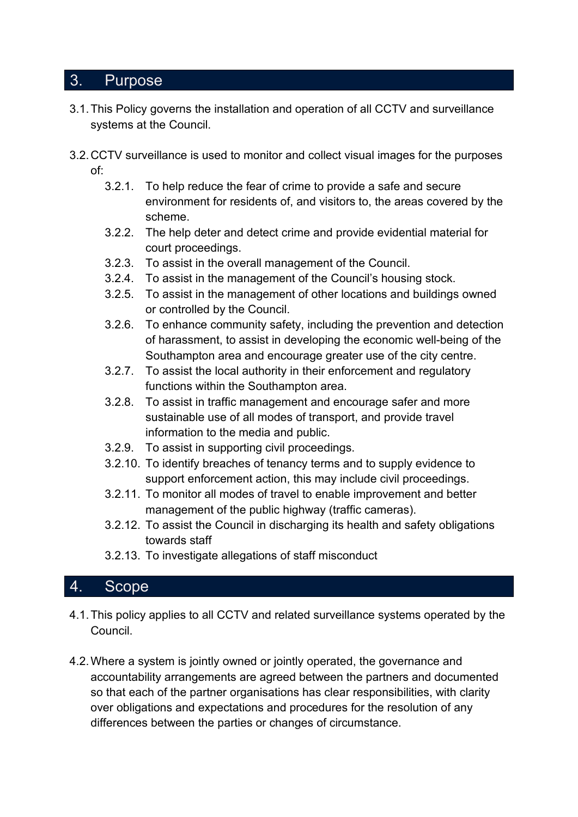### <span id="page-3-0"></span>3. Purpose

- 3.1.This Policy governs the installation and operation of all CCTV and surveillance systems at the Council.
- 3.2.CCTV surveillance is used to monitor and collect visual images for the purposes of:
	- 3.2.1. To help reduce the fear of crime to provide a safe and secure environment for residents of, and visitors to, the areas covered by the scheme.
	- 3.2.2. The help deter and detect crime and provide evidential material for court proceedings.
	- 3.2.3. To assist in the overall management of the Council.
	- 3.2.4. To assist in the management of the Council's housing stock.
	- 3.2.5. To assist in the management of other locations and buildings owned or controlled by the Council.
	- 3.2.6. To enhance community safety, including the prevention and detection of harassment, to assist in developing the economic well-being of the Southampton area and encourage greater use of the city centre.
	- 3.2.7. To assist the local authority in their enforcement and regulatory functions within the Southampton area.
	- 3.2.8. To assist in traffic management and encourage safer and more sustainable use of all modes of transport, and provide travel information to the media and public.
	- 3.2.9. To assist in supporting civil proceedings.
	- 3.2.10. To identify breaches of tenancy terms and to supply evidence to support enforcement action, this may include civil proceedings.
	- 3.2.11. To monitor all modes of travel to enable improvement and better management of the public highway (traffic cameras).
	- 3.2.12. To assist the Council in discharging its health and safety obligations towards staff
	- 3.2.13. To investigate allegations of staff misconduct

#### <span id="page-3-1"></span>4. Scope

- 4.1.This policy applies to all CCTV and related surveillance systems operated by the Council.
- 4.2.Where a system is jointly owned or jointly operated, the governance and accountability arrangements are agreed between the partners and documented so that each of the partner organisations has clear responsibilities, with clarity over obligations and expectations and procedures for the resolution of any differences between the parties or changes of circumstance.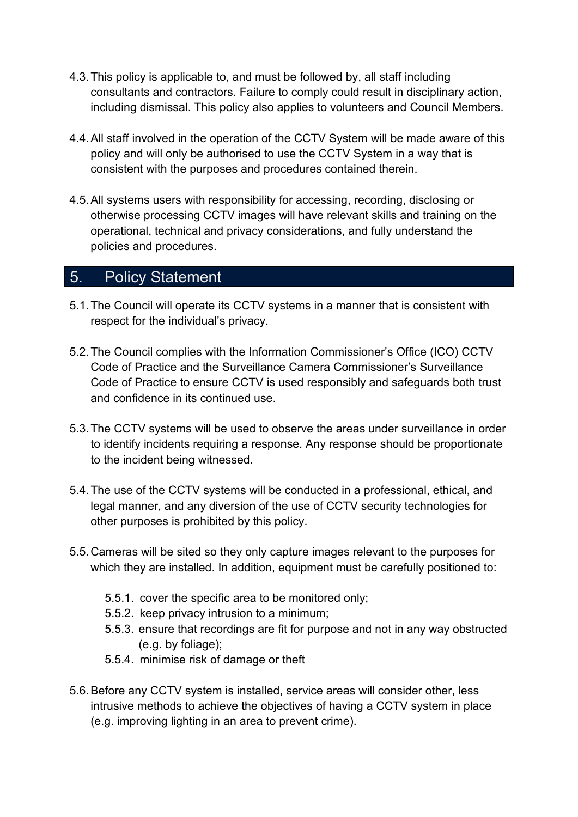- 4.3.This policy is applicable to, and must be followed by, all staff including consultants and contractors. Failure to comply could result in disciplinary action, including dismissal. This policy also applies to volunteers and Council Members.
- 4.4.All staff involved in the operation of the CCTV System will be made aware of this policy and will only be authorised to use the CCTV System in a way that is consistent with the purposes and procedures contained therein.
- 4.5.All systems users with responsibility for accessing, recording, disclosing or otherwise processing CCTV images will have relevant skills and training on the operational, technical and privacy considerations, and fully understand the policies and procedures.

# <span id="page-4-0"></span>5. Policy Statement

- 5.1.The Council will operate its CCTV systems in a manner that is consistent with respect for the individual's privacy.
- 5.2.The Council complies with the Information Commissioner's Office (ICO) CCTV Code of Practice and the Surveillance Camera Commissioner's Surveillance Code of Practice to ensure CCTV is used responsibly and safeguards both trust and confidence in its continued use.
- 5.3.The CCTV systems will be used to observe the areas under surveillance in order to identify incidents requiring a response. Any response should be proportionate to the incident being witnessed.
- 5.4.The use of the CCTV systems will be conducted in a professional, ethical, and legal manner, and any diversion of the use of CCTV security technologies for other purposes is prohibited by this policy.
- 5.5.Cameras will be sited so they only capture images relevant to the purposes for which they are installed. In addition, equipment must be carefully positioned to:
	- 5.5.1. cover the specific area to be monitored only;
	- 5.5.2. keep privacy intrusion to a minimum;
	- 5.5.3. ensure that recordings are fit for purpose and not in any way obstructed (e.g. by foliage);
	- 5.5.4. minimise risk of damage or theft
- 5.6.Before any CCTV system is installed, service areas will consider other, less intrusive methods to achieve the objectives of having a CCTV system in place (e.g. improving lighting in an area to prevent crime).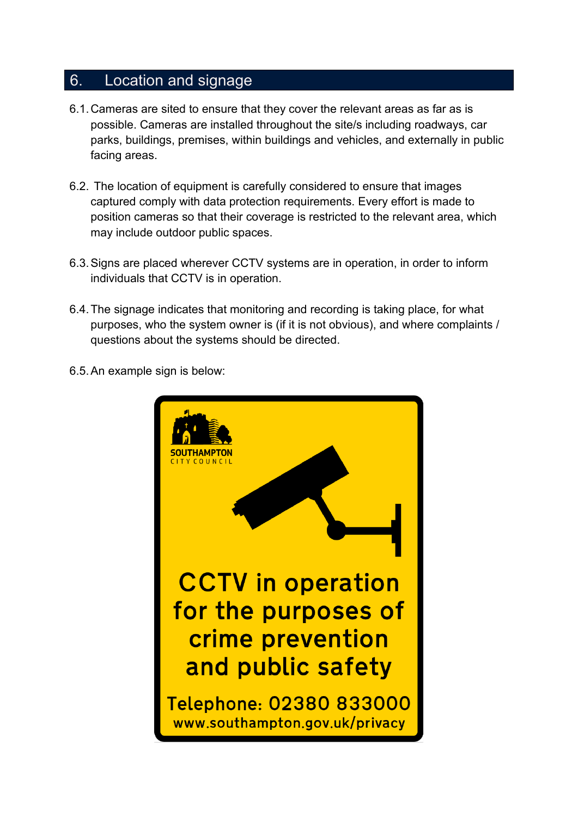#### <span id="page-5-0"></span>6. Location and signage

- 6.1.Cameras are sited to ensure that they cover the relevant areas as far as is possible. Cameras are installed throughout the site/s including roadways, car parks, buildings, premises, within buildings and vehicles, and externally in public facing areas.
- 6.2. The location of equipment is carefully considered to ensure that images captured comply with data protection requirements. Every effort is made to position cameras so that their coverage is restricted to the relevant area, which may include outdoor public spaces.
- 6.3.Signs are placed wherever CCTV systems are in operation, in order to inform individuals that CCTV is in operation.
- 6.4.The signage indicates that monitoring and recording is taking place, for what purposes, who the system owner is (if it is not obvious), and where complaints / questions about the systems should be directed.
- 6.5.An example sign is below:

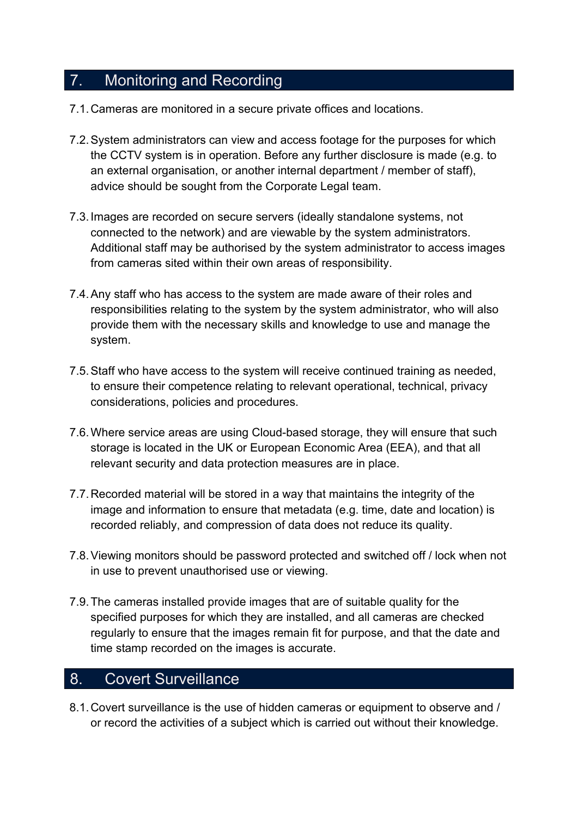# <span id="page-6-0"></span>7. Monitoring and Recording

- 7.1.Cameras are monitored in a secure private offices and locations.
- 7.2.System administrators can view and access footage for the purposes for which the CCTV system is in operation. Before any further disclosure is made (e.g. to an external organisation, or another internal department / member of staff), advice should be sought from the Corporate Legal team.
- 7.3.Images are recorded on secure servers (ideally standalone systems, not connected to the network) and are viewable by the system administrators. Additional staff may be authorised by the system administrator to access images from cameras sited within their own areas of responsibility.
- 7.4.Any staff who has access to the system are made aware of their roles and responsibilities relating to the system by the system administrator, who will also provide them with the necessary skills and knowledge to use and manage the system.
- 7.5.Staff who have access to the system will receive continued training as needed, to ensure their competence relating to relevant operational, technical, privacy considerations, policies and procedures.
- 7.6.Where service areas are using Cloud-based storage, they will ensure that such storage is located in the UK or European Economic Area (EEA), and that all relevant security and data protection measures are in place.
- 7.7.Recorded material will be stored in a way that maintains the integrity of the image and information to ensure that metadata (e.g. time, date and location) is recorded reliably, and compression of data does not reduce its quality.
- 7.8.Viewing monitors should be password protected and switched off / lock when not in use to prevent unauthorised use or viewing.
- 7.9.The cameras installed provide images that are of suitable quality for the specified purposes for which they are installed, and all cameras are checked regularly to ensure that the images remain fit for purpose, and that the date and time stamp recorded on the images is accurate.

# <span id="page-6-1"></span>8. Covert Surveillance

8.1.Covert surveillance is the use of hidden cameras or equipment to observe and / or record the activities of a subject which is carried out without their knowledge.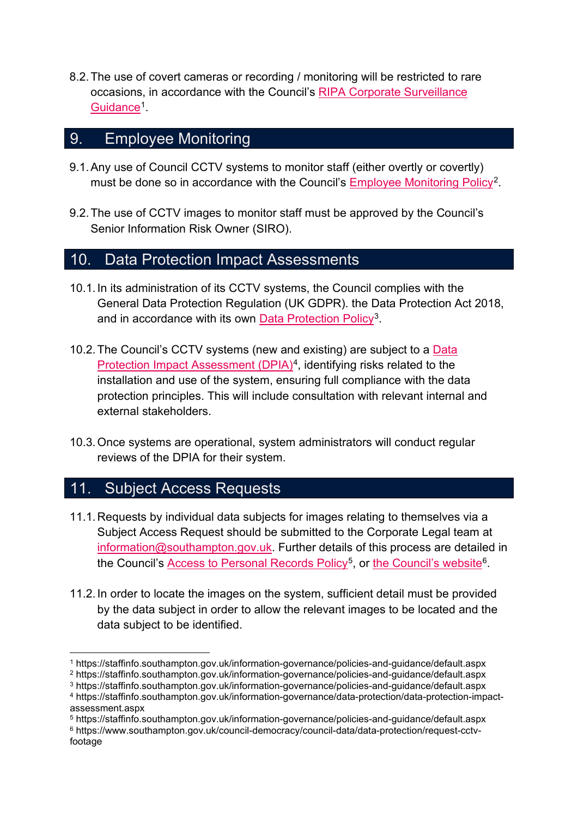8.2.The use of covert cameras or recording / monitoring will be restricted to rare occasions, in accordance with the Council's [RIPA Corporate Surveillance](https://staffinfo.southampton.gov.uk/information-governance/policies-and-guidance/default.aspx)  [Guidance](https://staffinfo.southampton.gov.uk/information-governance/policies-and-guidance/default.aspx)<sup>1</sup>

#### <span id="page-7-0"></span>9. Employee Monitoring

- 9.1.Any use of Council CCTV systems to monitor staff (either overtly or covertly) must be done so in accordance with the Council's [Employee Monitoring Policy](https://staffinfo.southampton.gov.uk/information-governance/policies-and-guidance/default.aspx)<sup>[2](#page-7-4)</sup>.
- 9.2.The use of CCTV images to monitor staff must be approved by the Council's Senior Information Risk Owner (SIRO).

#### <span id="page-7-1"></span>10. Data Protection Impact Assessments

- 10.1. In its administration of its CCTV systems, the Council complies with the General Data Protection Regulation (UK GDPR). the Data Protection Act 2018, and in accordance with its own [Data Protection Policy](https://staffinfo.southampton.gov.uk/information-governance/policies-and-guidance/default.aspx)<sup>[3](#page-7-5)</sup>.
- 10.2.The Council's CCTV systems (new and existing) are subject to a [Data](https://staffinfo.southampton.gov.uk/information-governance/data-protection/data-protection-impact-assessment.aspx)  [Protection Impact Assessment \(DPIA\)](https://staffinfo.southampton.gov.uk/information-governance/data-protection/data-protection-impact-assessment.aspx)<sup>4</sup>, identifying risks related to the installation and use of the system, ensuring full compliance with the data protection principles. This will include consultation with relevant internal and external stakeholders.
- 10.3.Once systems are operational, system administrators will conduct regular reviews of the DPIA for their system.

# <span id="page-7-2"></span>11. Subject Access Requests

- 11.1. Requests by individual data subjects for images relating to themselves via a Subject Access Request should be submitted to the Corporate Legal team at [information@southampton.gov.uk.](mailto:information@southampton.gov.uk) Further details of this process are detailed in the Council's [Access to Personal Records Policy](https://staffinfo.southampton.gov.uk/information-governance/policies-and-guidance/default.aspx)<sup>[5](#page-7-7)</sup>, or [the Council's website](https://www.southampton.gov.uk/council-democracy/council-data/data-protection/request-cctv-footage)<sup>6</sup>.
- 11.2. In order to locate the images on the system, sufficient detail must be provided by the data subject in order to allow the relevant images to be located and the data subject to be identified.

<span id="page-7-3"></span><sup>1</sup> https://staffinfo.southampton.gov.uk/information-governance/policies-and-guidance/default.aspx

<span id="page-7-4"></span><sup>2</sup> https://staffinfo.southampton.gov.uk/information-governance/policies-and-guidance/default.aspx

<span id="page-7-5"></span><sup>3</sup> https://staffinfo.southampton.gov.uk/information-governance/policies-and-guidance/default.aspx <sup>4</sup> https://staffinfo.southampton.gov.uk/information-governance/data-protection/data-protection-impact-

<span id="page-7-6"></span>assessment.aspx

<span id="page-7-7"></span><sup>5</sup> https://staffinfo.southampton.gov.uk/information-governance/policies-and-guidance/default.aspx

<span id="page-7-8"></span><sup>6</sup> https://www.southampton.gov.uk/council-democracy/council-data/data-protection/request-cctvfootage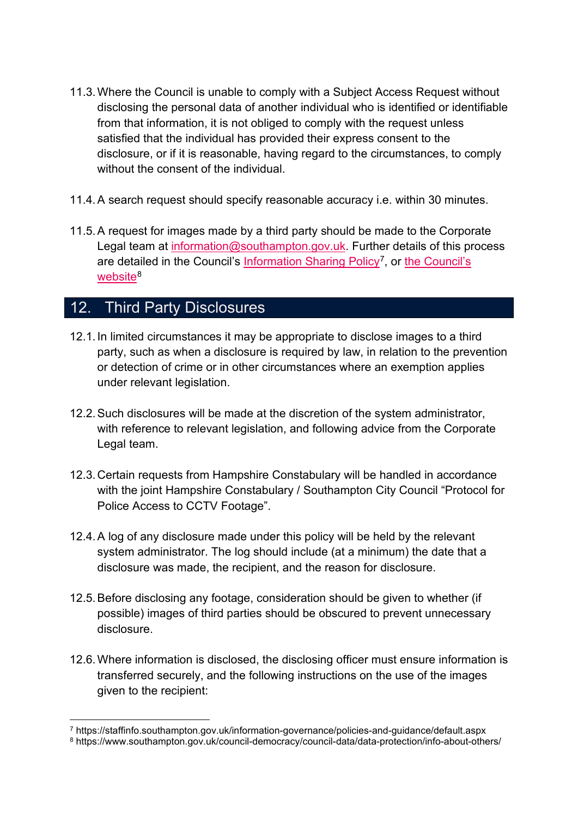- 11.3.Where the Council is unable to comply with a Subject Access Request without disclosing the personal data of another individual who is identified or identifiable from that information, it is not obliged to comply with the request unless satisfied that the individual has provided their express consent to the disclosure, or if it is reasonable, having regard to the circumstances, to comply without the consent of the individual
- 11.4.A search request should specify reasonable accuracy i.e. within 30 minutes.
- 11.5.A request for images made by a third party should be made to the Corporate Legal team at [information@southampton.gov.uk.](mailto:information@southampton.gov.uk) Further details of this process are detailed in the Council's [Information Sharing Policy](https://staffinfo.southampton.gov.uk/information-governance/policies-and-guidance/default.aspx)<sup>[7](#page-8-1)</sup>, or the Council's [website](https://www.southampton.gov.uk/council-democracy/council-data/data-protection/info-about-others/)<sup>[8](#page-8-2)</sup>

# <span id="page-8-0"></span>12. Third Party Disclosures

- 12.1. In limited circumstances it may be appropriate to disclose images to a third party, such as when a disclosure is required by law, in relation to the prevention or detection of crime or in other circumstances where an exemption applies under relevant legislation.
- 12.2.Such disclosures will be made at the discretion of the system administrator, with reference to relevant legislation, and following advice from the Corporate Legal team.
- 12.3. Certain requests from Hampshire Constabulary will be handled in accordance with the joint Hampshire Constabulary / Southampton City Council "Protocol for Police Access to CCTV Footage".
- 12.4.A log of any disclosure made under this policy will be held by the relevant system administrator. The log should include (at a minimum) the date that a disclosure was made, the recipient, and the reason for disclosure.
- 12.5.Before disclosing any footage, consideration should be given to whether (if possible) images of third parties should be obscured to prevent unnecessary disclosure.
- 12.6.Where information is disclosed, the disclosing officer must ensure information is transferred securely, and the following instructions on the use of the images given to the recipient:

<span id="page-8-1"></span><sup>7</sup> https://staffinfo.southampton.gov.uk/information-governance/policies-and-guidance/default.aspx

<span id="page-8-2"></span><sup>8</sup> https://www.southampton.gov.uk/council-democracy/council-data/data-protection/info-about-others/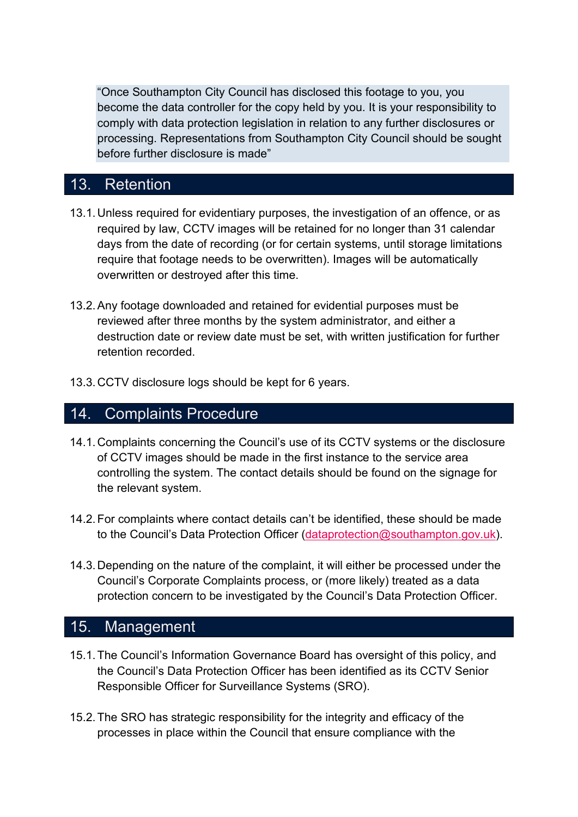"Once Southampton City Council has disclosed this footage to you, you become the data controller for the copy held by you. It is your responsibility to comply with data protection legislation in relation to any further disclosures or processing. Representations from Southampton City Council should be sought before further disclosure is made"

# <span id="page-9-0"></span>13. Retention

- 13.1. Unless required for evidentiary purposes, the investigation of an offence, or as required by law, CCTV images will be retained for no longer than 31 calendar days from the date of recording (or for certain systems, until storage limitations require that footage needs to be overwritten). Images will be automatically overwritten or destroyed after this time.
- 13.2.Any footage downloaded and retained for evidential purposes must be reviewed after three months by the system administrator, and either a destruction date or review date must be set, with written justification for further retention recorded.
- <span id="page-9-1"></span>13.3. CCTV disclosure logs should be kept for 6 years.

#### 14. Complaints Procedure

- 14.1. Complaints concerning the Council's use of its CCTV systems or the disclosure of CCTV images should be made in the first instance to the service area controlling the system. The contact details should be found on the signage for the relevant system.
- 14.2.For complaints where contact details can't be identified, these should be made to the Council's Data Protection Officer [\(dataprotection@southampton.gov.uk\)](mailto:dataprotection@southampton.gov.uk).
- 14.3. Depending on the nature of the complaint, it will either be processed under the Council's Corporate Complaints process, or (more likely) treated as a data protection concern to be investigated by the Council's Data Protection Officer.

#### <span id="page-9-2"></span>15. Management

- 15.1.The Council's Information Governance Board has oversight of this policy, and the Council's Data Protection Officer has been identified as its CCTV Senior Responsible Officer for Surveillance Systems (SRO).
- 15.2.The SRO has strategic responsibility for the integrity and efficacy of the processes in place within the Council that ensure compliance with the